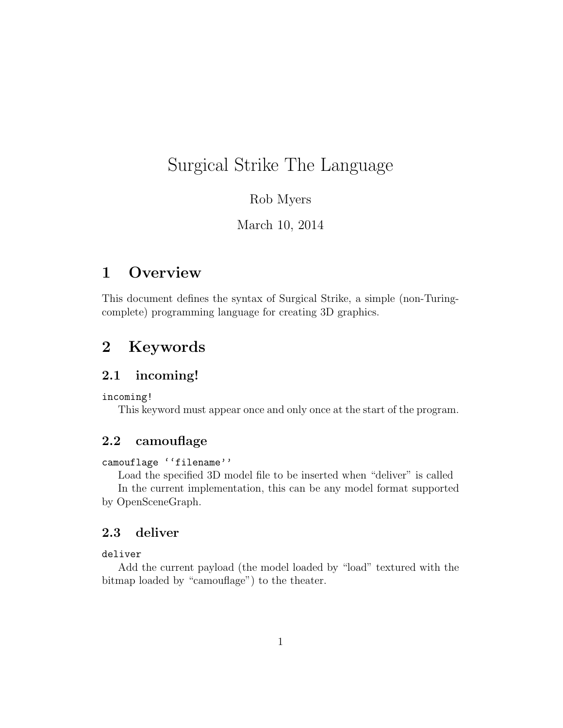# Surgical Strike The Language

### Rob Myers

March 10, 2014

## 1 Overview

This document defines the syntax of Surgical Strike, a simple (non-Turingcomplete) programming language for creating 3D graphics.

## 2 Keywords

#### 2.1 incoming!

incoming!

This keyword must appear once and only once at the start of the program.

### 2.2 camouflage

#### camouflage ''filename''

Load the specified 3D model file to be inserted when "deliver" is called In the current implementation, this can be any model format supported by OpenSceneGraph.

### 2.3 deliver

#### deliver

Add the current payload (the model loaded by "load" textured with the bitmap loaded by "camouflage") to the theater.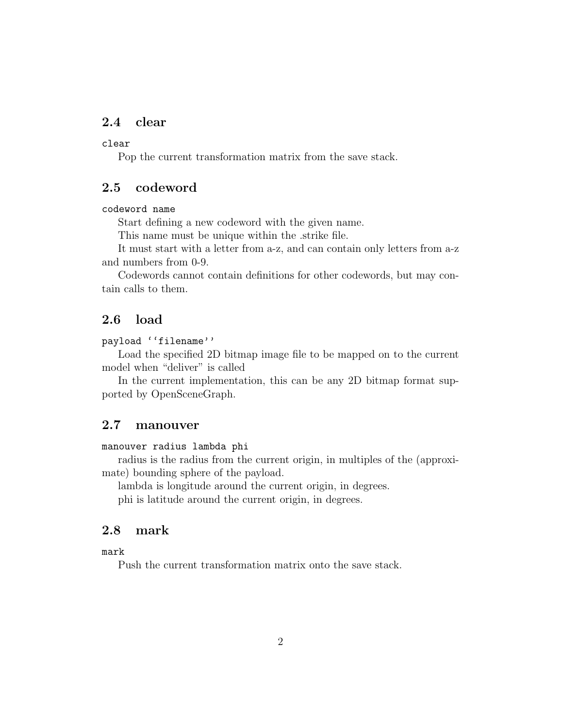### 2.4 clear

#### clear

Pop the current transformation matrix from the save stack.

#### 2.5 codeword

#### codeword name

Start defining a new codeword with the given name.

This name must be unique within the .strike file.

It must start with a letter from a-z, and can contain only letters from a-z and numbers from 0-9.

Codewords cannot contain definitions for other codewords, but may contain calls to them.

### 2.6 load

payload ''filename''

Load the specified 2D bitmap image file to be mapped on to the current model when "deliver" is called

In the current implementation, this can be any 2D bitmap format supported by OpenSceneGraph.

#### 2.7 manouver

#### manouver radius lambda phi

radius is the radius from the current origin, in multiples of the (approximate) bounding sphere of the payload.

lambda is longitude around the current origin, in degrees.

phi is latitude around the current origin, in degrees.

### 2.8 mark

#### mark

Push the current transformation matrix onto the save stack.